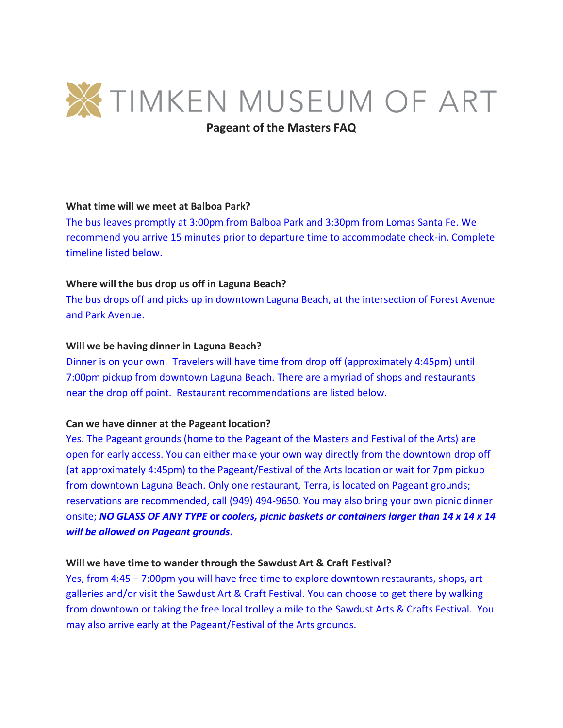

**Pageant of the Masters FAQ**

# **What time will we meet at Balboa Park?**

The bus leaves promptly at 3:00pm from Balboa Park and 3:30pm from Lomas Santa Fe. We recommend you arrive 15 minutes prior to departure time to accommodate check-in. Complete timeline listed below.

# **Where will the bus drop us off in Laguna Beach?**

The bus drops off and picks up in downtown Laguna Beach, at the intersection of Forest Avenue and Park Avenue.

# **Will we be having dinner in Laguna Beach?**

Dinner is on your own. Travelers will have time from drop off (approximately 4:45pm) until 7:00pm pickup from downtown Laguna Beach. There are a myriad of shops and restaurants near the drop off point. Restaurant recommendations are listed below.

#### **Can we have dinner at the Pageant location?**

Yes. The Pageant grounds (home to the Pageant of the Masters and Festival of the Arts) are open for early access. You can either make your own way directly from the downtown drop off (at approximately 4:45pm) to the Pageant/Festival of the Arts location or wait for 7pm pickup from downtown Laguna Beach. Only one restaurant, Terra, is located on Pageant grounds; reservations are recommended, call (949) 494-9650. You may also bring your own picnic dinner onsite; *NO GLASS OF ANY TYPE* **or** *coolers, picnic baskets or containers larger than 14 x 14 x 14 will be allowed on Pageant grounds***.**

#### **Will we have time to wander through the Sawdust Art & Craft Festival?**

Yes, from 4:45 – 7:00pm you will have free time to explore downtown restaurants, shops, art galleries and/or visit the Sawdust Art & Craft Festival. You can choose to get there by walking from downtown or taking the free local trolley a mile to the Sawdust Arts & Crafts Festival. You may also arrive early at the Pageant/Festival of the Arts grounds.